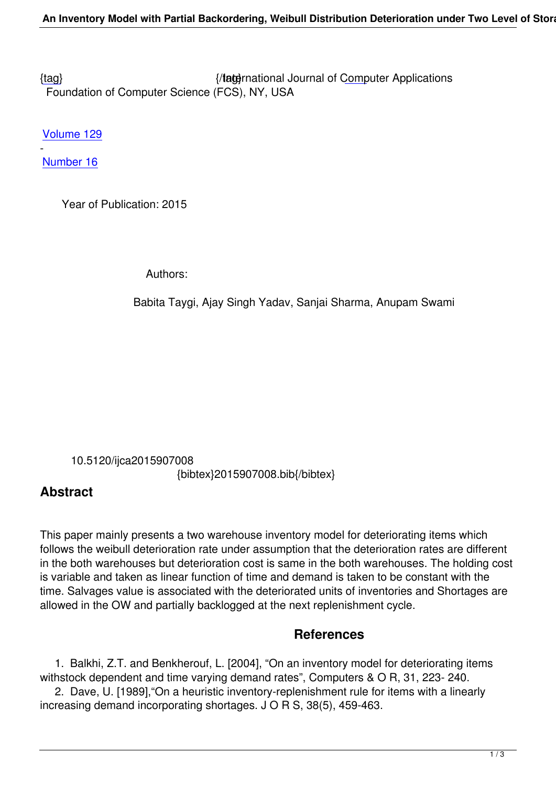{tag} International Journal of Computer Applications Foundation of Computer Science (FCS), NY, USA

[Volu](/research/volume129/number16/taygi-2015-ijca-907008.pdf)me 129

Number 16

-

 [Year of](/archives/volume129/number16) Publication: 2015

Authors:

Babita Taygi, Ajay Singh Yadav, Sanjai Sharma, Anupam Swami

 10.5120/ijca2015907008 {bibtex}2015907008.bib{/bibtex}

## **Abstract**

This paper mainly presents a two warehouse inventory model for deteriorating items which follows the weibull deterioration rate under assumption that the deterioration rates are different in the both warehouses but deterioration cost is same in the both warehouses. The holding cost is variable and taken as linear function of time and demand is taken to be constant with the time. Salvages value is associated with the deteriorated units of inventories and Shortages are allowed in the OW and partially backlogged at the next replenishment cycle.

## **References**

 1. Balkhi, Z.T. and Benkherouf, L. [2004], "On an inventory model for deteriorating items withstock dependent and time varying demand rates", Computers & O R, 31, 223- 240.

 2. Dave, U. [1989],"On a heuristic inventory-replenishment rule for items with a linearly increasing demand incorporating shortages. J O R S, 38(5), 459-463.